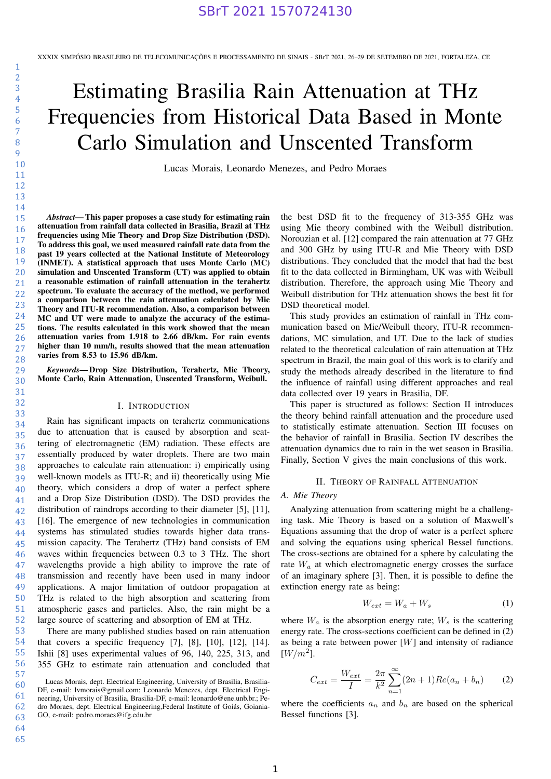# Estimating Brasilia Rain Attenuation at THz Frequencies from Historical Data Based in Monte Carlo Simulation and Unscented Transform

Lucas Morais, Leonardo Menezes, and Pedro Moraes

*Abstract*— This paper proposes a case study for estimating rain attenuation from rainfall data collected in Brasilia, Brazil at THz frequencies using Mie Theory and Drop Size Distribution (DSD). To address this goal, we used measured rainfall rate data from the past 19 years collected at the National Institute of Meteorology (INMET). A statistical approach that uses Monte Carlo (MC) simulation and Unscented Transform (UT) was applied to obtain a reasonable estimation of rainfall attenuation in the terahertz spectrum. To evaluate the accuracy of the method, we performed a comparison between the rain attenuation calculated by Mie Theory and ITU-R recommendation. Also, a comparison between MC and UT were made to analyze the accuracy of the estimations. The results calculated in this work showed that the mean attenuation varies from 1.918 to 2.66 dB/km. For rain events higher than 10 mm/h, results showed that the mean attenuation varies from 8.53 to 15.96 dB/km.

*Keywords*— Drop Size Distribution, Terahertz, Mie Theory, Monte Carlo, Rain Attenuation, Unscented Transform, Weibull.

#### I. INTRODUCTION

Rain has significant impacts on terahertz communications due to attenuation that is caused by absorption and scattering of electromagnetic (EM) radiation. These effects are essentially produced by water droplets. There are two main approaches to calculate rain attenuation: i) empirically using well-known models as ITU-R; and ii) theoretically using Mie theory, which considers a drop of water a perfect sphere and a Drop Size Distribution (DSD). The DSD provides the distribution of raindrops according to their diameter [5], [11], [16]. The emergence of new technologies in communication systems has stimulated studies towards higher data transmission capacity. The Terahertz (THz) band consists of EM waves within frequencies between 0.3 to 3 THz. The short wavelengths provide a high ability to improve the rate of transmission and recently have been used in many indoor applications. A major limitation of outdoor propagation at THz is related to the high absorption and scattering from atmospheric gases and particles. Also, the rain might be a large source of scattering and absorption of EM at THz.

There are many published studies based on rain attenuation that covers a specific frequency [7], [8], [10], [12], [14]. Ishii [8] uses experimental values of 96, 140, 225, 313, and 355 GHz to estimate rain attenuation and concluded that

the best DSD fit to the frequency of 313-355 GHz was using Mie theory combined with the Weibull distribution. Norouzian et al. [12] compared the rain attenuation at 77 GHz and 300 GHz by using ITU-R and Mie Theory with DSD distributions. They concluded that the model that had the best fit to the data collected in Birmingham, UK was with Weibull distribution. Therefore, the approach using Mie Theory and Weibull distribution for THz attenuation shows the best fit for DSD theoretical model.

This study provides an estimation of rainfall in THz communication based on Mie/Weibull theory, ITU-R recommendations, MC simulation, and UT. Due to the lack of studies related to the theoretical calculation of rain attenuation at THz spectrum in Brazil, the main goal of this work is to clarify and study the methods already described in the literature to find the influence of rainfall using different approaches and real data collected over 19 years in Brasilia, DF.

This paper is structured as follows: Section II introduces the theory behind rainfall attenuation and the procedure used to statistically estimate attenuation. Section III focuses on the behavior of rainfall in Brasilia. Section IV describes the attenuation dynamics due to rain in the wet season in Brasilia. Finally, Section V gives the main conclusions of this work.

### II. THEORY OF RAINFALL ATTENUATION

## *A. Mie Theory*

Analyzing attenuation from scattering might be a challenging task. Mie Theory is based on a solution of Maxwell's Equations assuming that the drop of water is a perfect sphere and solving the equations using spherical Bessel functions. The cross-sections are obtained for a sphere by calculating the rate  $W_a$  at which electromagnetic energy crosses the surface of an imaginary sphere [3]. Then, it is possible to define the extinction energy rate as being:

$$
W_{ext} = W_a + W_s \tag{1}
$$

where  $W_a$  is the absorption energy rate;  $W_s$  is the scattering energy rate. The cross-sections coefficient can be defined in (2) as being a rate between power  $[W]$  and intensity of radiance  $[W/m^2]$ .

$$
C_{ext} = \frac{W_{ext}}{I} = \frac{2\pi}{k^2} \sum_{n=1}^{\infty} (2n+1) Re(a_n + b_n)
$$
 (2)

where the coefficients  $a_n$  and  $b_n$  are based on the spherical Bessel functions [3].

<sup>60</sup> Lucas Morais, dept. Electrical Engineering, University of Brasilia, Brasilia-DF, e-mail: lvmorais@gmail.com; Leonardo Menezes, dept. Electrical Engineering, University of Brasilia, Brasilia-DF, e-mail: leonardo@ene.unb.br.; Pedro Moraes, dept. Electrical Engineering,Federal Institute of Goiás, Goiania-GO, e-mail: pedro.moraes@ifg.edu.br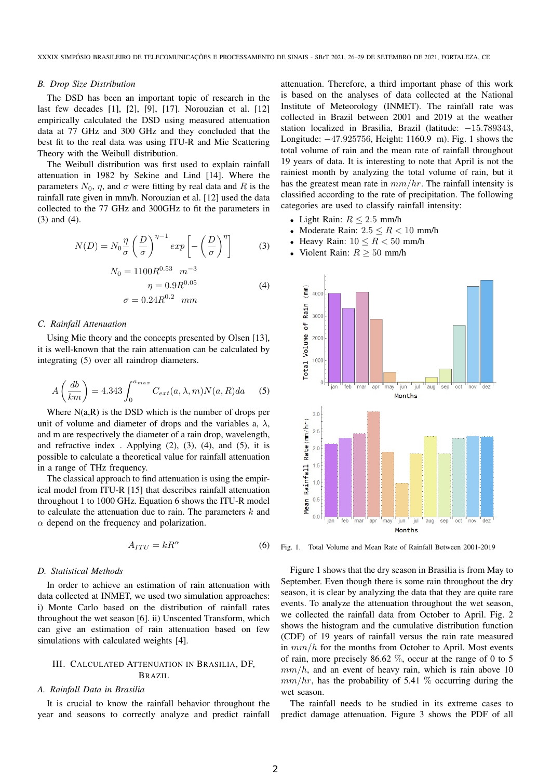#### *B. Drop Size Distribution*

The DSD has been an important topic of research in the last few decades [1], [2], [9], [17]. Norouzian et al. [12] empirically calculated the DSD using measured attenuation data at 77 GHz and 300 GHz and they concluded that the best fit to the real data was using ITU-R and Mie Scattering Theory with the Weibull distribution.

The Weibull distribution was first used to explain rainfall attenuation in 1982 by Sekine and Lind [14]. Where the parameters  $N_0$ ,  $\eta$ , and  $\sigma$  were fitting by real data and R is the rainfall rate given in mm/h. Norouzian et al. [12] used the data collected to the 77 GHz and 300GHz to fit the parameters in (3) and (4).

$$
N(D) = N_0 \frac{\eta}{\sigma} \left(\frac{D}{\sigma}\right)^{\eta - 1} \exp\left[-\left(\frac{D}{\sigma}\right)^{\eta}\right]
$$
 (3)

$$
N_0 = 1100R^{0.53} \t m^{-3}\n\eta = 0.9R^{0.05}\n\sigma = 0.24R^{0.2} \t mm
$$
\n(4)

#### *C. Rainfall Attenuation*

Using Mie theory and the concepts presented by Olsen [13], it is well-known that the rain attenuation can be calculated by integrating (5) over all raindrop diameters.

$$
A\left(\frac{db}{km}\right) = 4.343 \int_0^{a_{max}} C_{ext}(a,\lambda,m) N(a,R) da \qquad (5)
$$

Where  $N(a,R)$  is the DSD which is the number of drops per unit of volume and diameter of drops and the variables a,  $\lambda$ , and m are respectively the diameter of a rain drop, wavelength, and refractive index . Applying  $(2)$ ,  $(3)$ ,  $(4)$ , and  $(5)$ , it is possible to calculate a theoretical value for rainfall attenuation in a range of THz frequency.

The classical approach to find attenuation is using the empirical model from ITU-R [15] that describes rainfall attenuation throughout 1 to 1000 GHz. Equation 6 shows the ITU-R model to calculate the attenuation due to rain. The parameters  $k$  and  $\alpha$  depend on the frequency and polarization.

$$
A_{ITU} = kR^{\alpha} \tag{6}
$$

## *D. Statistical Methods*

In order to achieve an estimation of rain attenuation with data collected at INMET, we used two simulation approaches: i) Monte Carlo based on the distribution of rainfall rates throughout the wet season [6]. ii) Unscented Transform, which can give an estimation of rain attenuation based on few simulations with calculated weights [4].

# III. CALCULATED ATTENUATION IN BRASILIA, DF, BRAZIL

#### *A. Rainfall Data in Brasilia*

It is crucial to know the rainfall behavior throughout the year and seasons to correctly analyze and predict rainfall

attenuation. Therefore, a third important phase of this work is based on the analyses of data collected at the National Institute of Meteorology (INMET). The rainfall rate was collected in Brazil between 2001 and 2019 at the weather station localized in Brasilia, Brazil (latitude: −15.789343, Longitude: −47.925756, Height: 1160.9 m). Fig. 1 shows the total volume of rain and the mean rate of rainfall throughout 19 years of data. It is interesting to note that April is not the rainiest month by analyzing the total volume of rain, but it has the greatest mean rate in  $mm/hr$ . The rainfall intensity is classified according to the rate of precipitation. The following categories are used to classify rainfall intensity:

- Light Rain:  $R \leq 2.5$  mm/h
- Moderate Rain:  $2.5 \le R \le 10$  mm/h
- Heavy Rain:  $10 \leq R < 50$  mm/h
- Violent Rain:  $R \geq 50$  mm/h



Fig. 1. Total Volume and Mean Rate of Rainfall Between 2001-2019

Figure 1 shows that the dry season in Brasilia is from May to September. Even though there is some rain throughout the dry season, it is clear by analyzing the data that they are quite rare events. To analyze the attenuation throughout the wet season, we collected the rainfall data from October to April. Fig. 2 shows the histogram and the cumulative distribution function (CDF) of 19 years of rainfall versus the rain rate measured in  $mm/h$  for the months from October to April. Most events of rain, more precisely 86.62  $\%$ , occur at the range of 0 to 5  $mm/h$ , and an event of heavy rain, which is rain above 10  $mm/hr$ , has the probability of 5.41 % occurring during the wet season.

The rainfall needs to be studied in its extreme cases to predict damage attenuation. Figure 3 shows the PDF of all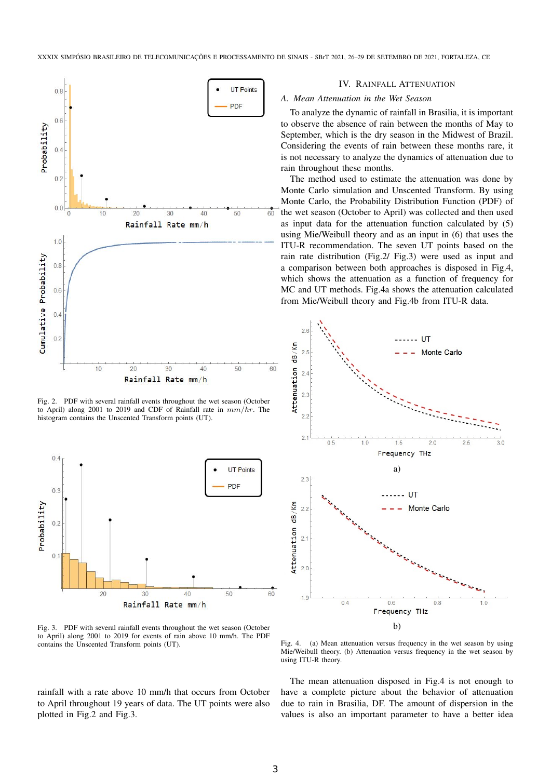

Fig. 2. PDF with several rainfall events throughout the wet season (October to April) along 2001 to 2019 and CDF of Rainfall rate in  $mm/hr$ . The histogram contains the Unscented Transform points (UT).



Fig. 3. PDF with several rainfall events throughout the wet season (October to April) along 2001 to 2019 for events of rain above 10 mm/h. The PDF contains the Unscented Transform points (UT).

rainfall with a rate above 10 mm/h that occurs from October to April throughout 19 years of data. The UT points were also plotted in Fig.2 and Fig.3.

#### IV. RAINFALL ATTENUATION

## *A. Mean Attenuation in the Wet Season*

To analyze the dynamic of rainfall in Brasilia, it is important to observe the absence of rain between the months of May to September, which is the dry season in the Midwest of Brazil. Considering the events of rain between these months rare, it is not necessary to analyze the dynamics of attenuation due to rain throughout these months.

The method used to estimate the attenuation was done by Monte Carlo simulation and Unscented Transform. By using Monte Carlo, the Probability Distribution Function (PDF) of the wet season (October to April) was collected and then used as input data for the attenuation function calculated by (5) using Mie/Weibull theory and as an input in (6) that uses the ITU-R recommendation. The seven UT points based on the rain rate distribution (Fig.2/ Fig.3) were used as input and a comparison between both approaches is disposed in Fig.4, which shows the attenuation as a function of frequency for MC and UT methods. Fig.4a shows the attenuation calculated from Mie/Weibull theory and Fig.4b from ITU-R data.



Fig. 4. (a) Mean attenuation versus frequency in the wet season by using Mie/Weibull theory. (b) Attenuation versus frequency in the wet season by using ITU-R theory.

The mean attenuation disposed in Fig.4 is not enough to have a complete picture about the behavior of attenuation due to rain in Brasilia, DF. The amount of dispersion in the values is also an important parameter to have a better idea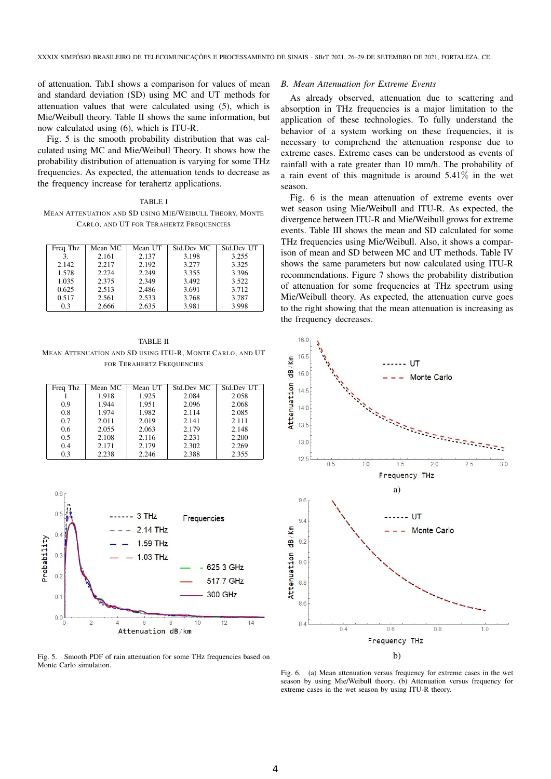of attenuation. Tab.I shows a comparison for values of mean and standard deviation (SD) using MC and UT methods for attenuation values that were calculated using (5), which is Mie/Weibull theory. Table II shows the same information, but now calculated using (6), which is ITU-R.

Fig. 5 is the smooth probability distribution that was calculated using MC and Mie/Weibull Theory. It shows how the probability distribution of attenuation is varying for some THz frequencies. As expected, the attenuation tends to decrease as the frequency increase for terahertz applications.

TABLE I MEAN ATTENUATION AND SD USING MIE/WEIBULL THEORY, MONTE CARLO, AND UT FOR TERAHERTZ FREQUENCIES

| Freq Thz | Mean MC | Mean UT | Std.Dev MC | Std.Dev UT |
|----------|---------|---------|------------|------------|
| 3.       | 2.161   | 2.137   | 3.198      | 3.255      |
| 2.142    | 2.217   | 2.192   | 3.277      | 3.325      |
| 1.578    | 2.274   | 2.249   | 3.355      | 3.396      |
| 1.035    | 2.375   | 2.349   | 3.492      | 3.522      |
| 0.625    | 2.513   | 2.486   | 3.691      | 3.712      |
| 0.517    | 2.561   | 2.533   | 3.768      | 3.787      |
| 0.3      | 2.666   | 2.635   | 3.981      | 3.998      |

TABLE II MEAN ATTENUATION AND SD USING ITU-R, MONTE CARLO, AND UT FOR TERAHERTZ FREQUENCIES

| Freq Thz | Mean MC | Mean UT | Std.Dev MC | Std.Dev UT |
|----------|---------|---------|------------|------------|
|          | 1.918   | 1.925   | 2.084      | 2.058      |
| 09       | 1.944   | 1.951   | 2.096      | 2.068      |
| 0.8      | 1.974   | 1.982   | 2.114      | 2.085      |
| 0.7      | 2.011   | 2.019   | 2.141      | 2.111      |
| 0.6      | 2.055   | 2.063   | 2.179      | 2.148      |
| 0.5      | 2.108   | 2.116   | 2.231      | 2.200      |
| 0.4      | 2.171   | 2.179   | 2.302      | 2.269      |
| 0.3      | 2.238   | 2.246   | 2.388      | 2.355      |



Fig. 5. Smooth PDF of rain attenuation for some THz frequencies based on Monte Carlo simulation.

# *B. Mean Attenuation for Extreme Events*

As already observed, attenuation due to scattering and absorption in THz frequencies is a major limitation to the application of these technologies. To fully understand the behavior of a system working on these frequencies, it is necessary to comprehend the attenuation response due to extreme cases. Extreme cases can be understood as events of rainfall with a rate greater than 10 mm/h. The probability of a rain event of this magnitude is around 5.41% in the wet season.

Fig. 6 is the mean attenuation of extreme events over wet season using Mie/Weibull and ITU-R. As expected, the divergence between ITU-R and Mie/Weibull grows for extreme events. Table III shows the mean and SD calculated for some THz frequencies using Mie/Weibull. Also, it shows a comparison of mean and SD between MC and UT methods. Table IV shows the same parameters but now calculated using ITU-R recommendations. Figure 7 shows the probability distribution of attenuation for some frequencies at THz spectrum using Mie/Weibull theory. As expected, the attenuation curve goes to the right showing that the mean attenuation is increasing as the frequency decreases.



Fig. 6. (a) Mean attenuation versus frequency for extreme cases in the wet season by using Mie/Weibull theory. (b) Attenuation versus frequency for extreme cases in the wet season by using ITU-R theory.